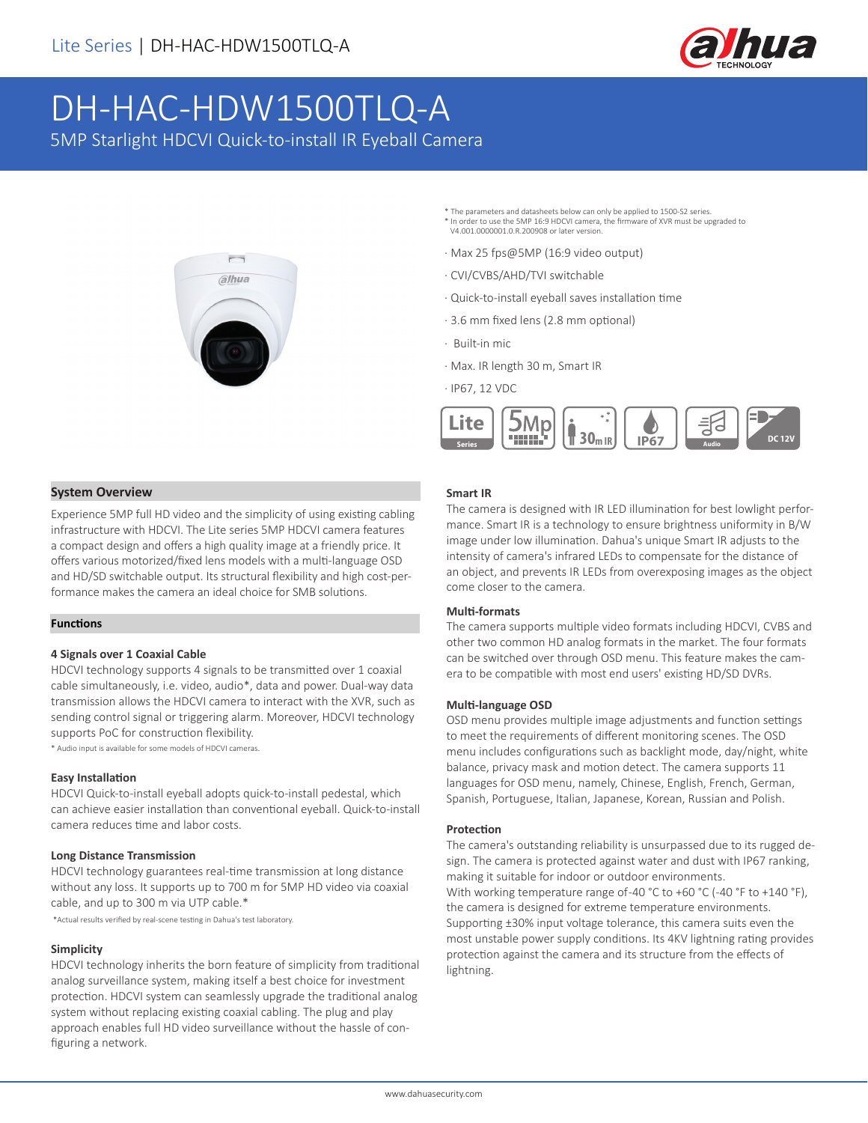

# DH-HAC-HDW1500TLQ-A

5MP Starlight HDCVI Quick-to-install IR Eyeball Camera



- \* The parameters and datasheets below can only be applied to 1500-S2 series. \* In order to use the 5MP 16:9 HDCVI camera, the firmware of XVR must be upgraded to V4.001.0000001.0.R.200908 or later version.
- · Max 25 fps@5MP (16:9 video output)
- · CVI/CVBS/AHD/TVI switchable
- · Quick-to-install eyeball saves installation time
- · 3.6 mm fixed lens (2.8 mm optional)
- · Built-in mic
- · Max. IR length 30 m, Smart IR
- · IP67, 12 VDC



#### **System Overview**

Experience 5MP full HD video and the simplicity of using existing cabling infrastructure with HDCVI. The Lite series 5MP HDCVI camera features a compact design and offers a high quality image at a friendly price. It offers various motorized/fixed lens models with a multi-language OSD and HD/SD switchable output. Its structural flexibility and high cost-performance makes the camera an ideal choice for SMB solutions.

#### **Functions**

#### **4 Signals over 1 Coaxial Cable**

HDCVI technology supports 4 signals to be transmitted over 1 coaxial cable simultaneously, i.e. video, audio\*, data and power. Dual-way data transmission allows the HDCVI camera to interact with the XVR, such as sending control signal or triggering alarm. Moreover, HDCVI technology supports PoC for construction flexibility.

\* Audio input is available for some models of HDCVI cameras.

#### **Easy Installation**

HDCVI Quick-to-install eyeball adopts quick-to-install pedestal, which can achieve easier installation than conventional eyeball. Quick-to-install camera reduces time and labor costs.

#### **Long Distance Transmission**

HDCVI technology guarantees real-time transmission at long distance without any loss. It supports up to 700 m for 5MP HD video via coaxial cable, and up to 300 m via UTP cable.\*

\*Actual results verified by real-scene testing in Dahua's test laboratory.

#### **Simplicity**

HDCVI technology inherits the born feature of simplicity from traditional analog surveillance system, making itself a best choice for investment protection. HDCVI system can seamlessly upgrade the traditional analog system without replacing existing coaxial cabling. The plug and play approach enables full HD video surveillance without the hassle of configuring a network.

#### **Smart IR**

The camera is designed with IR LED illumination for best lowlight performance. Smart IR is a technology to ensure brightness uniformity in B/W image under low illumination. Dahua's unique Smart IR adjusts to the intensity of camera's infrared LEDs to compensate for the distance of an object, and prevents IR LEDs from overexposing images as the object come closer to the camera.

#### **Multi-formats**

The camera supports multiple video formats including HDCVI, CVBS and other two common HD analog formats in the market. The four formats can be switched over through OSD menu. This feature makes the camera to be compatible with most end users' existing HD/SD DVRs.

#### **Multi-language OSD**

OSD menu provides multiple image adjustments and function settings to meet the requirements of different monitoring scenes. The OSD menu includes configurations such as backlight mode, day/night, white balance, privacy mask and motion detect. The camera supports 11 languages for OSD menu, namely, Chinese, English, French, German, Spanish, Portuguese, Italian, Japanese, Korean, Russian and Polish.

#### **Protection**

The camera's outstanding reliability is unsurpassed due to its rugged design. The camera is protected against water and dust with IP67 ranking, making it suitable for indoor or outdoor environments. With working temperature range of-40 °C to +60 °C (-40 °F to +140 °F), the camera is designed for extreme temperature environments. Supporting ±30% input voltage tolerance, this camera suits even the most unstable power supply conditions. Its 4KV lightning rating provides protection against the camera and its structure from the effects of lightning.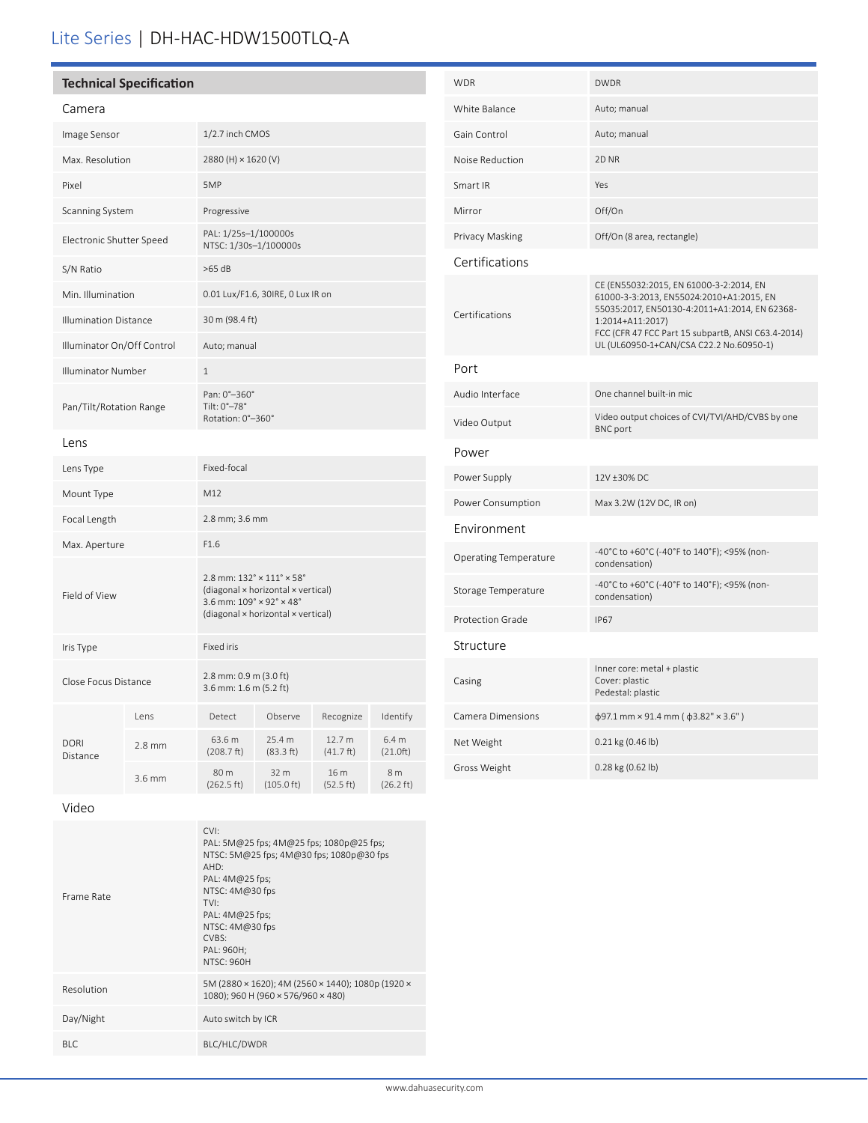## Lite Series | DH-HAC-HDW1500TLQ-A

| <b>Technical Specification</b> |  |
|--------------------------------|--|
|                                |  |

| Camera                       |        |                                                                                                                                                                                  |                              |                     |                            |
|------------------------------|--------|----------------------------------------------------------------------------------------------------------------------------------------------------------------------------------|------------------------------|---------------------|----------------------------|
| Image Sensor                 |        | 1/2.7 inch CMOS                                                                                                                                                                  |                              |                     |                            |
| Max. Resolution              |        | 2880 (H) × 1620 (V)                                                                                                                                                              |                              |                     |                            |
| Pixel                        |        | 5MP                                                                                                                                                                              |                              |                     |                            |
| Scanning System              |        | Progressive                                                                                                                                                                      |                              |                     |                            |
| Electronic Shutter Speed     |        | PAL: 1/25s-1/100000s<br>NTSC: 1/30s-1/100000s                                                                                                                                    |                              |                     |                            |
| S/N Ratio                    |        | $>65$ dB                                                                                                                                                                         |                              |                     |                            |
| Min. Illumination            |        | 0.01 Lux/F1.6, 30IRE, 0 Lux IR on                                                                                                                                                |                              |                     |                            |
| <b>Illumination Distance</b> |        | 30 m (98.4 ft)                                                                                                                                                                   |                              |                     |                            |
| Illuminator On/Off Control   |        | Auto; manual                                                                                                                                                                     |                              |                     |                            |
| <b>Illuminator Number</b>    |        | 1                                                                                                                                                                                |                              |                     |                            |
| Pan/Tilt/Rotation Range      |        | Pan: 0°-360°<br>Tilt: 0°-78°<br>Rotation: 0°-360°                                                                                                                                |                              |                     |                            |
| Lens                         |        |                                                                                                                                                                                  |                              |                     |                            |
| Lens Type                    |        | Fixed-focal                                                                                                                                                                      |                              |                     |                            |
| Mount Type                   |        | M12                                                                                                                                                                              |                              |                     |                            |
| Focal Length                 |        | 2.8 mm; 3.6 mm                                                                                                                                                                   |                              |                     |                            |
| Max. Aperture                |        | F1.6                                                                                                                                                                             |                              |                     |                            |
| Field of View                |        | $2.8$ mm: $132^{\circ} \times 111^{\circ} \times 58^{\circ}$<br>(diagonal × horizontal × vertical)<br>3.6 mm: $109° \times 92° \times 48°$<br>(diagonal × horizontal × vertical) |                              |                     |                            |
| Iris Type                    |        | <b>Fixed iris</b>                                                                                                                                                                |                              |                     |                            |
| Close Focus Distance         |        | 2.8 mm: 0.9 m (3.0 ft)<br>3.6 mm: 1.6 m (5.2 ft)                                                                                                                                 |                              |                     |                            |
| <b>DORI</b><br>Distance      | Lens   | Detect                                                                                                                                                                           | Observe                      | Recognize           | Identify                   |
|                              | 2.8 mm | 63.6 m<br>(208.7 ft)                                                                                                                                                             | 25.4 m<br>(83.3 ft)          | 12.7 m<br>(41.7 ft) | 6.4 m<br>(21.0ft)          |
|                              | 3.6 mm | 80 m<br>(262.5 ft)                                                                                                                                                               | 32 m<br>$(105.0 \text{ ft})$ | 16 m<br>(52.5 ft)   | 8 m<br>$(26.2 \text{ ft})$ |

| Frame Rate | CVI:<br>PAL: 5M@25 fps; 4M@25 fps; 1080p@25 fps;<br>NTSC: 5M@25 fps; 4M@30 fps; 1080p@30 fps<br>AHD:<br>PAL: $4M@25$ fps;<br>NTSC: 4M@30 fps<br>TVI:<br>PAL: $4M@25$ fps;<br>NTSC: 4M@30 fps<br>CVBS:<br>PAL: 960H;<br><b>NTSC: 960H</b> |
|------------|------------------------------------------------------------------------------------------------------------------------------------------------------------------------------------------------------------------------------------------|
| Resolution | 5M (2880 × 1620); 4M (2560 × 1440); 1080p (1920 ×<br>1080); 960 H (960 × 576/960 × 480)                                                                                                                                                  |
| Day/Night  | Auto switch by ICR                                                                                                                                                                                                                       |
| BI C       | BLC/HLC/DWDR                                                                                                                                                                                                                             |

| WDR                     | <b>DWDR</b>                                                                                                                                                                                                                                               |
|-------------------------|-----------------------------------------------------------------------------------------------------------------------------------------------------------------------------------------------------------------------------------------------------------|
| White Balance           | Auto; manual                                                                                                                                                                                                                                              |
| Gain Control            | Auto; manual                                                                                                                                                                                                                                              |
| Noise Reduction         | 2D <sub>NR</sub>                                                                                                                                                                                                                                          |
| Smart IR                |                                                                                                                                                                                                                                                           |
|                         | Yes                                                                                                                                                                                                                                                       |
| Mirror                  | Off/On                                                                                                                                                                                                                                                    |
| Privacy Masking         | Off/On (8 area, rectangle)                                                                                                                                                                                                                                |
| Certifications          |                                                                                                                                                                                                                                                           |
| Certifications          | CE (EN55032:2015, EN 61000-3-2:2014, EN<br>61000-3-3:2013, EN55024:2010+A1:2015, EN<br>55035:2017, EN50130-4:2011+A1:2014, EN 62368-<br>1:2014+A11:2017)<br>FCC (CFR 47 FCC Part 15 subpartB, ANSI C63.4-2014)<br>UL (UL60950-1+CAN/CSA C22.2 No.60950-1) |
| Port                    |                                                                                                                                                                                                                                                           |
| Audio Interface         | One channel built-in mic                                                                                                                                                                                                                                  |
| Video Output            | Video output choices of CVI/TVI/AHD/CVBS by one<br><b>BNC</b> port                                                                                                                                                                                        |
| Power                   |                                                                                                                                                                                                                                                           |
| Power Supply            | 12V ±30% DC                                                                                                                                                                                                                                               |
| Power Consumption       | Max 3.2W (12V DC, IR on)                                                                                                                                                                                                                                  |
| Environment             |                                                                                                                                                                                                                                                           |
| Operating Temperature   | -40°C to +60°C (-40°F to 140°F); <95% (non-<br>condensation)                                                                                                                                                                                              |
| Storage Temperature     | -40°C to +60°C (-40°F to 140°F); <95% (non-<br>condensation)                                                                                                                                                                                              |
| <b>Protection Grade</b> | <b>IP67</b>                                                                                                                                                                                                                                               |
| Structure               |                                                                                                                                                                                                                                                           |
| Casing                  | Inner core: metal + plastic<br>Cover: plastic<br>Pedestal: plastic                                                                                                                                                                                        |
| Camera Dimensions       | $\phi$ 97.1 mm × 91.4 mm ( $\phi$ 3.82" × 3.6")                                                                                                                                                                                                           |
| Net Weight              | $0.21$ kg (0.46 lb)                                                                                                                                                                                                                                       |
| Gross Weight            | 0.28 kg (0.62 lb)                                                                                                                                                                                                                                         |